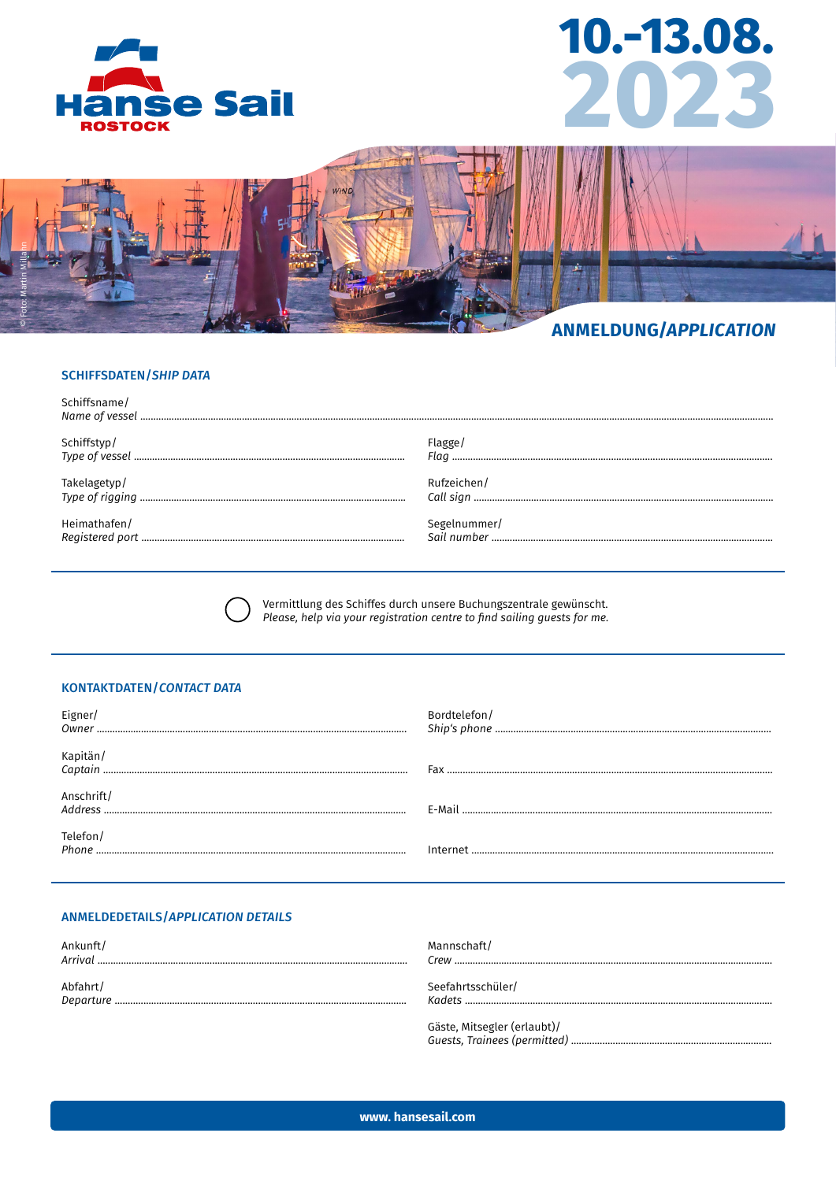





# **ANMELDUNG/APPLICATION**

# **SCHIFFSDATEN/SHIP DATA**

| Schiffsname/ |              |
|--------------|--------------|
| Schiffstyp/  | Flagge       |
|              |              |
| Takelagetyp/ | Rufzeichen/  |
|              |              |
| Heimathafen/ | Segelnummer/ |
|              | Sail number  |

Vermittlung des Schiffes durch unsere Buchungszentrale gewünscht. Please, help via your registration centre to find sailing guests for me.

# **KONTAKTDATEN/CONTACT DATA**

| Eigner/           | Bordtelefon/ |
|-------------------|--------------|
|                   | Fax          |
| Anschrift/        |              |
| Telefon/<br>Phone |              |

# **ANMELDEDETAILS/APPLICATION DETAILS**

| Ankunft/<br>Arrival | Mannschaft/<br>Crew .                |
|---------------------|--------------------------------------|
| Abfahrt/            | Seefahrtsschüler/<br>Kadets $\ldots$ |
|                     | Gäste, Mitsegler (erlaubt)/          |